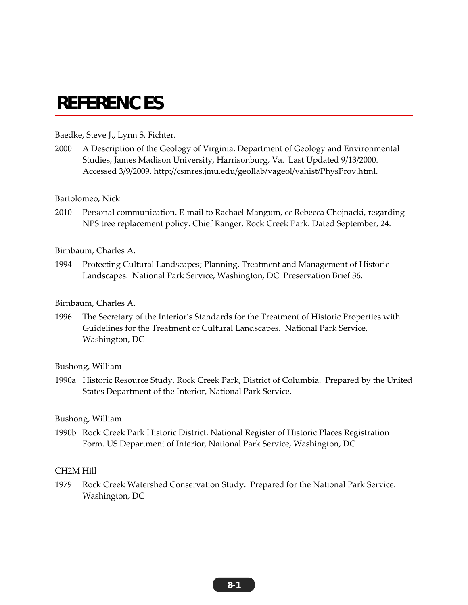# **REFERENCES**

### Baedke, Steve J., Lynn S. Fichter.

2000 A Description of the Geology of Virginia. Department of Geology and Environmental Studies, James Madison University, Harrisonburg, Va. Last Updated 9/13/2000. Accessed 3/9/2009. http://csmres.jmu.edu/geollab/vageol/vahist/PhysProv.html.

#### Bartolomeo, Nick

2010 Personal communication. E-mail to Rachael Mangum, cc Rebecca Chojnacki, regarding NPS tree replacement policy. Chief Ranger, Rock Creek Park. Dated September, 24.

#### Birnbaum, Charles A.

1994 Protecting Cultural Landscapes; Planning, Treatment and Management of Historic Landscapes. National Park Service, Washington, DC Preservation Brief 36.

### Birnbaum, Charles A.

1996 The Secretary of the Interior's Standards for the Treatment of Historic Properties with Guidelines for the Treatment of Cultural Landscapes. National Park Service, Washington, DC

#### Bushong, William

1990a Historic Resource Study, Rock Creek Park, District of Columbia. Prepared by the United States Department of the Interior, National Park Service.

#### Bushong, William

1990b Rock Creek Park Historic District. National Register of Historic Places Registration Form. US Department of Interior, National Park Service, Washington, DC

## CH2M Hill

1979 Rock Creek Watershed Conservation Study. Prepared for the National Park Service. Washington, DC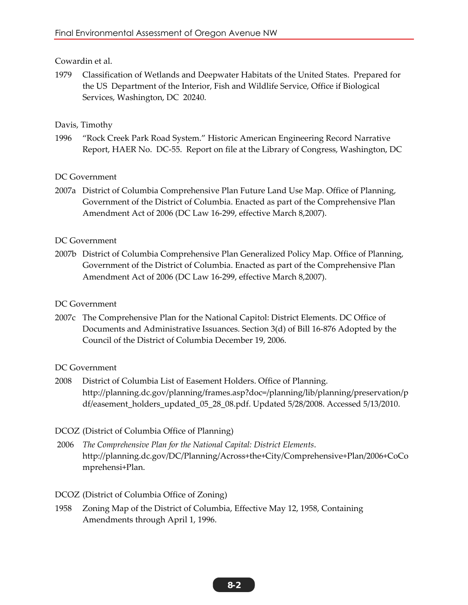# Cowardin et al.

1979 Classification of Wetlands and Deepwater Habitats of the United States. Prepared for the US Department of the Interior, Fish and Wildlife Service, Office if Biological Services, Washington, DC 20240.

# Davis, Timothy

1996 "Rock Creek Park Road System." Historic American Engineering Record Narrative Report, HAER No. DC-55. Report on file at the Library of Congress, Washington, DC

DC Government

2007a District of Columbia Comprehensive Plan Future Land Use Map. Office of Planning, Government of the District of Columbia. Enacted as part of the Comprehensive Plan Amendment Act of 2006 (DC Law 16-299, effective March 8,2007).

# DC Government

2007b District of Columbia Comprehensive Plan Generalized Policy Map. Office of Planning, Government of the District of Columbia. Enacted as part of the Comprehensive Plan Amendment Act of 2006 (DC Law 16-299, effective March 8,2007).

# DC Government

2007c The Comprehensive Plan for the National Capitol: District Elements. DC Office of Documents and Administrative Issuances. Section 3(d) of Bill 16-876 Adopted by the Council of the District of Columbia December 19, 2006.

# DC Government

2008 District of Columbia List of Easement Holders. Office of Planning. http://planning.dc.gov/planning/frames.asp?doc=/planning/lib/planning/preservation/p df/easement\_holders\_updated\_05\_28\_08.pdf. Updated 5/28/2008. Accessed 5/13/2010.

# DCOZ (District of Columbia Office of Planning)

 2006 *The Comprehensive Plan for the National Capital: District Elements*. http://planning.dc.gov/DC/Planning/Across+the+City/Comprehensive+Plan/2006+CoCo mprehensi+Plan.

# DCOZ (District of Columbia Office of Zoning)

1958 Zoning Map of the District of Columbia, Effective May 12, 1958, Containing Amendments through April 1, 1996.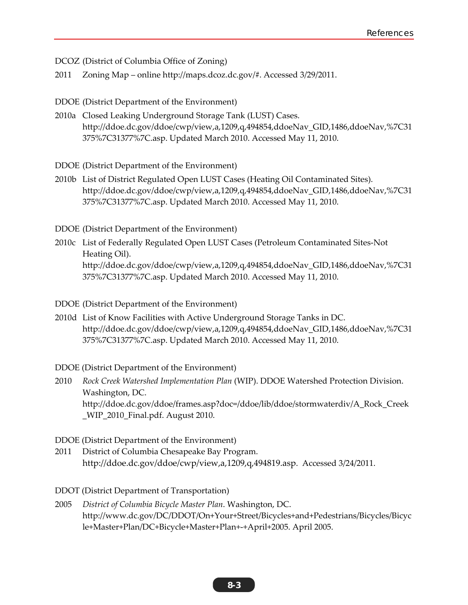DCOZ (District of Columbia Office of Zoning)

2011 Zoning Map – online http://maps.dcoz.dc.gov/#. Accessed 3/29/2011.

DDOE (District Department of the Environment)

2010a Closed Leaking Underground Storage Tank (LUST) Cases. http://ddoe.dc.gov/ddoe/cwp/view,a,1209,q,494854,ddoeNav\_GID,1486,ddoeNav,%7C31 375%7C31377%7C.asp. Updated March 2010. Accessed May 11, 2010.

DDOE (District Department of the Environment)

2010b List of District Regulated Open LUST Cases (Heating Oil Contaminated Sites). http://ddoe.dc.gov/ddoe/cwp/view,a,1209,q,494854,ddoeNav\_GID,1486,ddoeNav,%7C31 375%7C31377%7C.asp. Updated March 2010. Accessed May 11, 2010.

DDOE (District Department of the Environment)

- 2010c List of Federally Regulated Open LUST Cases (Petroleum Contaminated Sites-Not Heating Oil). http://ddoe.dc.gov/ddoe/cwp/view,a,1209,q,494854,ddoeNav\_GID,1486,ddoeNav,%7C31 375%7C31377%7C.asp. Updated March 2010. Accessed May 11, 2010.
- DDOE (District Department of the Environment)
- 2010d List of Know Facilities with Active Underground Storage Tanks in DC. http://ddoe.dc.gov/ddoe/cwp/view,a,1209,q,494854,ddoeNav\_GID,1486,ddoeNav,%7C31 375%7C31377%7C.asp. Updated March 2010. Accessed May 11, 2010.

DDOE (District Department of the Environment)

- 2010 *Rock Creek Watershed Implementation Plan* (WIP). DDOE Watershed Protection Division. Washington, DC. http://ddoe.dc.gov/ddoe/frames.asp?doc=/ddoe/lib/ddoe/stormwaterdiv/A\_Rock\_Creek \_WIP\_2010\_Final.pdf. August 2010.
- DDOE (District Department of the Environment)
- 2011 District of Columbia Chesapeake Bay Program. http://ddoe.dc.gov/ddoe/cwp/view,a,1209,q,494819.asp. Accessed 3/24/2011.
- DDOT (District Department of Transportation)
- 2005 *District of Columbia Bicycle Master Plan*. Washington, DC. http://www.dc.gov/DC/DDOT/On+Your+Street/Bicycles+and+Pedestrians/Bicycles/Bicyc le+Master+Plan/DC+Bicycle+Master+Plan+-+April+2005. April 2005.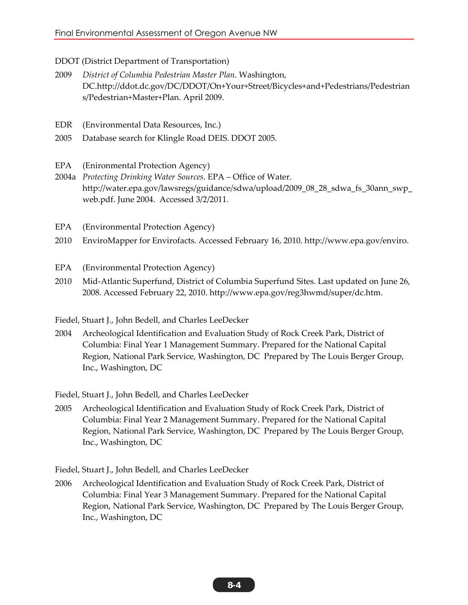DDOT (District Department of Transportation)

- 2009 *District of Columbia Pedestrian Master Plan*. Washington, DC.http://ddot.dc.gov/DC/DDOT/On+Your+Street/Bicycles+and+Pedestrians/Pedestrian s/Pedestrian+Master+Plan. April 2009.
- EDR (Environmental Data Resources, Inc.)
- 2005 Database search for Klingle Road DEIS. DDOT 2005.
- EPA (Enironmental Protection Agency)
- 2004a *Protecting Drinking Water Sources*. EPA Office of Water. http://water.epa.gov/lawsregs/guidance/sdwa/upload/2009\_08\_28\_sdwa\_fs\_30ann\_swp\_ web.pdf. June 2004. Accessed 3/2/2011.
- EPA (Environmental Protection Agency)
- 2010 EnviroMapper for Envirofacts. Accessed February 16, 2010. http://www.epa.gov/enviro.
- EPA (Environmental Protection Agency)
- 2010 Mid-Atlantic Superfund, District of Columbia Superfund Sites. Last updated on June 26, 2008. Accessed February 22, 2010. http://www.epa.gov/reg3hwmd/super/dc.htm.
- Fiedel, Stuart J., John Bedell, and Charles LeeDecker
- 2004 Archeological Identification and Evaluation Study of Rock Creek Park, District of Columbia: Final Year 1 Management Summary. Prepared for the National Capital Region, National Park Service, Washington, DC Prepared by The Louis Berger Group, Inc., Washington, DC

Fiedel, Stuart J., John Bedell, and Charles LeeDecker

2005 Archeological Identification and Evaluation Study of Rock Creek Park, District of Columbia: Final Year 2 Management Summary. Prepared for the National Capital Region, National Park Service, Washington, DC Prepared by The Louis Berger Group, Inc., Washington, DC

Fiedel, Stuart J., John Bedell, and Charles LeeDecker

2006 Archeological Identification and Evaluation Study of Rock Creek Park, District of Columbia: Final Year 3 Management Summary. Prepared for the National Capital Region, National Park Service, Washington, DC Prepared by The Louis Berger Group, Inc., Washington, DC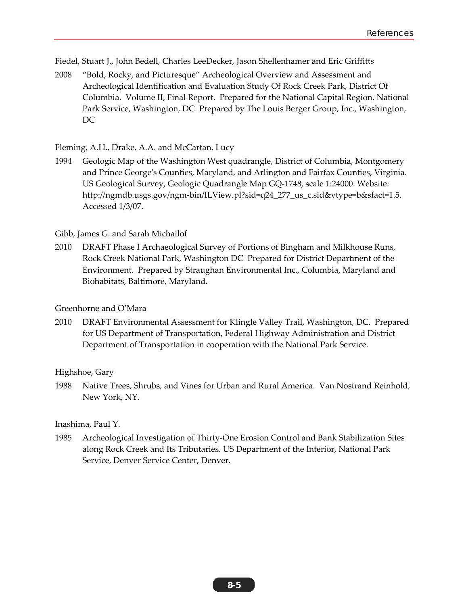Fiedel, Stuart J., John Bedell, Charles LeeDecker, Jason Shellenhamer and Eric Griffitts

2008 "Bold, Rocky, and Picturesque" Archeological Overview and Assessment and Archeological Identification and Evaluation Study Of Rock Creek Park, District Of Columbia. Volume II, Final Report. Prepared for the National Capital Region, National Park Service, Washington, DC Prepared by The Louis Berger Group, Inc., Washington, DC

Fleming, A.H., Drake, A.A. and McCartan, Lucy

1994 Geologic Map of the Washington West quadrangle, District of Columbia, Montgomery and Prince George's Counties, Maryland, and Arlington and Fairfax Counties, Virginia. US Geological Survey, Geologic Quadrangle Map GQ-1748, scale 1:24000. Website: http://ngmdb.usgs.gov/ngm-bin/ILView.pl?sid=q24\_277\_us\_c.sid&vtype=b&sfact=1.5. Accessed 1/3/07.

Gibb, James G. and Sarah Michailof

2010 DRAFT Phase I Archaeological Survey of Portions of Bingham and Milkhouse Runs, Rock Creek National Park, Washington DC Prepared for District Department of the Environment. Prepared by Straughan Environmental Inc., Columbia, Maryland and Biohabitats, Baltimore, Maryland.

## Greenhorne and O'Mara

2010 DRAFT Environmental Assessment for Klingle Valley Trail, Washington, DC. Prepared for US Department of Transportation, Federal Highway Administration and District Department of Transportation in cooperation with the National Park Service.

Highshoe, Gary

1988 Native Trees, Shrubs, and Vines for Urban and Rural America. Van Nostrand Reinhold, New York, NY.

Inashima, Paul Y.

1985 Archeological Investigation of Thirty-One Erosion Control and Bank Stabilization Sites along Rock Creek and Its Tributaries. US Department of the Interior, National Park Service, Denver Service Center, Denver.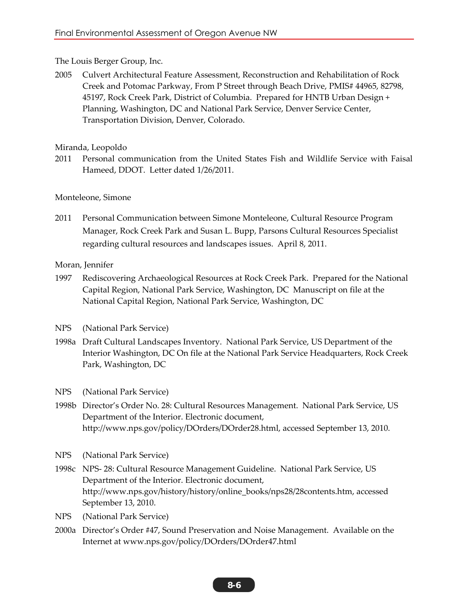# The Louis Berger Group, Inc.

2005 Culvert Architectural Feature Assessment, Reconstruction and Rehabilitation of Rock Creek and Potomac Parkway, From P Street through Beach Drive, PMIS# 44965, 82798, 45197, Rock Creek Park, District of Columbia. Prepared for HNTB Urban Design + Planning, Washington, DC and National Park Service, Denver Service Center, Transportation Division, Denver, Colorado.

# Miranda, Leopoldo

2011 Personal communication from the United States Fish and Wildlife Service with Faisal Hameed, DDOT. Letter dated 1/26/2011.

# Monteleone, Simone

2011 Personal Communication between Simone Monteleone, Cultural Resource Program Manager, Rock Creek Park and Susan L. Bupp, Parsons Cultural Resources Specialist regarding cultural resources and landscapes issues. April 8, 2011.

# Moran, Jennifer

- 1997 Rediscovering Archaeological Resources at Rock Creek Park. Prepared for the National Capital Region, National Park Service, Washington, DC Manuscript on file at the National Capital Region, National Park Service, Washington, DC
- NPS (National Park Service)
- 1998a Draft Cultural Landscapes Inventory. National Park Service, US Department of the Interior Washington, DC On file at the National Park Service Headquarters, Rock Creek Park, Washington, DC
- NPS (National Park Service)
- 1998b Director's Order No. 28: Cultural Resources Management. National Park Service, US Department of the Interior. Electronic document, http://www.nps.gov/policy/DOrders/DOrder28.html, accessed September 13, 2010.
- NPS (National Park Service)
- 1998c NPS- 28: Cultural Resource Management Guideline. National Park Service, US Department of the Interior. Electronic document, http://www.nps.gov/history/history/online\_books/nps28/28contents.htm, accessed September 13, 2010.
- NPS (National Park Service)
- 2000a Director's Order #47, Sound Preservation and Noise Management. Available on the Internet at www.nps.gov/policy/DOrders/DOrder47.html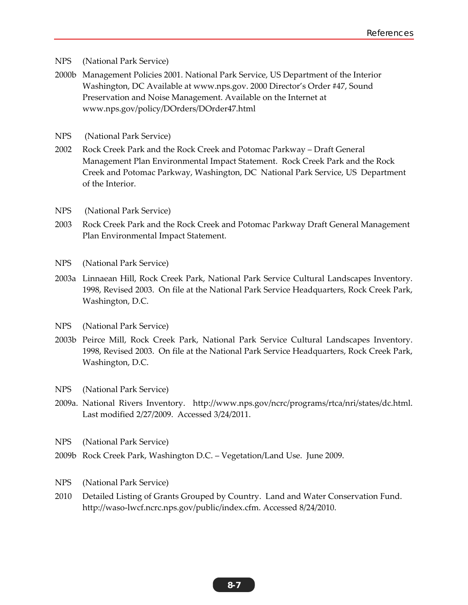- NPS (National Park Service)
- 2000b Management Policies 2001. National Park Service, US Department of the Interior Washington, DC Available at www.nps.gov. 2000 Director's Order #47, Sound Preservation and Noise Management. Available on the Internet at www.nps.gov/policy/DOrders/DOrder47.html
- NPS (National Park Service)
- 2002 Rock Creek Park and the Rock Creek and Potomac Parkway Draft General Management Plan Environmental Impact Statement. Rock Creek Park and the Rock Creek and Potomac Parkway, Washington, DC National Park Service, US Department of the Interior.
- NPS (National Park Service)
- 2003 Rock Creek Park and the Rock Creek and Potomac Parkway Draft General Management Plan Environmental Impact Statement.
- NPS (National Park Service)
- 2003a Linnaean Hill, Rock Creek Park, National Park Service Cultural Landscapes Inventory. 1998, Revised 2003. On file at the National Park Service Headquarters, Rock Creek Park, Washington, D.C.
- NPS (National Park Service)
- 2003b Peirce Mill, Rock Creek Park, National Park Service Cultural Landscapes Inventory. 1998, Revised 2003. On file at the National Park Service Headquarters, Rock Creek Park, Washington, D.C.
- NPS (National Park Service)
- 2009a. National Rivers Inventory. http://www.nps.gov/ncrc/programs/rtca/nri/states/dc.html. Last modified 2/27/2009. Accessed 3/24/2011.
- NPS (National Park Service)
- 2009b Rock Creek Park, Washington D.C. Vegetation/Land Use. June 2009.
- NPS (National Park Service)
- 2010 Detailed Listing of Grants Grouped by Country. Land and Water Conservation Fund. http://waso-lwcf.ncrc.nps.gov/public/index.cfm. Accessed 8/24/2010.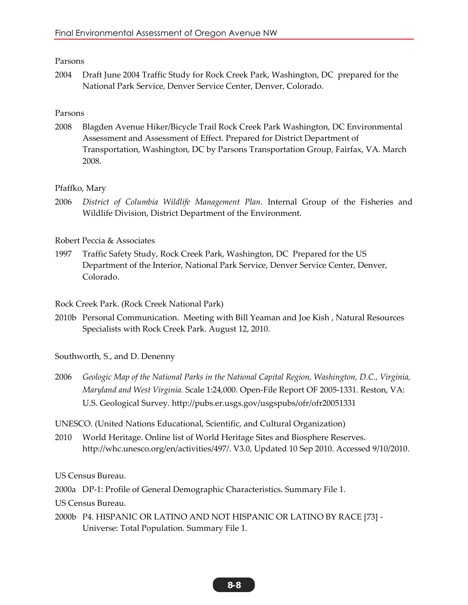## Parsons

2004 Draft June 2004 Traffic Study for Rock Creek Park, Washington, DC prepared for the National Park Service, Denver Service Center, Denver, Colorado.

## Parsons

2008 Blagden Avenue Hiker/Bicycle Trail Rock Creek Park Washington, DC Environmental Assessment and Assessment of Effect. Prepared for District Department of Transportation, Washington, DC by Parsons Transportation Group, Fairfax, VA. March 2008.

## Pfaffko, Mary

2006 *District of Columbia Wildlife Management Plan*. Internal Group of the Fisheries and Wildlife Division, District Department of the Environment.

Robert Peccia & Associates

1997 Traffic Safety Study, Rock Creek Park, Washington, DC Prepared for the US Department of the Interior, National Park Service, Denver Service Center, Denver, Colorado.

Rock Creek Park. (Rock Creek National Park)

2010b Personal Communication. Meeting with Bill Yeaman and Joe Kish , Natural Resources Specialists with Rock Creek Park. August 12, 2010.

Southworth, S., and D. Denenny

2006 *Geologic Map of the National Parks in the National Capital Region, Washington, D.C., Virginia, Maryland and West Virginia.* Scale 1:24,000. Open-File Report OF 2005-1331. Reston, VA: U.S. Geological Survey. http://pubs.er.usgs.gov/usgspubs/ofr/ofr20051331

UNESCO. (United Nations Educational, Scientific, and Cultural Organization)

2010 World Heritage. Online list of World Heritage Sites and Biosphere Reserves. http://whc.unesco.org/en/activities/497/. V3.0, Updated 10 Sep 2010. Accessed 9/10/2010.

US Census Bureau.

2000a DP-1: Profile of General Demographic Characteristics. Summary File 1.

US Census Bureau.

2000b P4. HISPANIC OR LATINO AND NOT HISPANIC OR LATINO BY RACE [73] - Universe: Total Population. Summary File 1.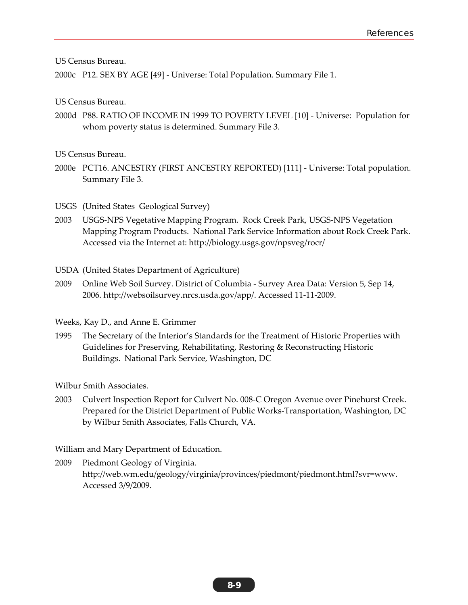US Census Bureau.

2000c P12. SEX BY AGE [49] - Universe: Total Population. Summary File 1.

US Census Bureau.

2000d P88. RATIO OF INCOME IN 1999 TO POVERTY LEVEL [10] - Universe: Population for whom poverty status is determined. Summary File 3.

US Census Bureau.

2000e PCT16. ANCESTRY (FIRST ANCESTRY REPORTED) [111] - Universe: Total population. Summary File 3.

USGS (United States Geological Survey)

2003 USGS-NPS Vegetative Mapping Program. Rock Creek Park, USGS-NPS Vegetation Mapping Program Products. National Park Service Information about Rock Creek Park. Accessed via the Internet at: http://biology.usgs.gov/npsveg/rocr/

USDA (United States Department of Agriculture)

2009 Online Web Soil Survey. District of Columbia - Survey Area Data: Version 5, Sep 14, 2006. http://websoilsurvey.nrcs.usda.gov/app/. Accessed 11-11-2009.

Weeks, Kay D., and Anne E. Grimmer

1995 The Secretary of the Interior's Standards for the Treatment of Historic Properties with Guidelines for Preserving, Rehabilitating, Restoring & Reconstructing Historic Buildings. National Park Service, Washington, DC

Wilbur Smith Associates.

2003 Culvert Inspection Report for Culvert No. 008-C Oregon Avenue over Pinehurst Creek. Prepared for the District Department of Public Works-Transportation, Washington, DC by Wilbur Smith Associates, Falls Church, VA.

William and Mary Department of Education.

2009 Piedmont Geology of Virginia. http://web.wm.edu/geology/virginia/provinces/piedmont/piedmont.html?svr=www. Accessed 3/9/2009.